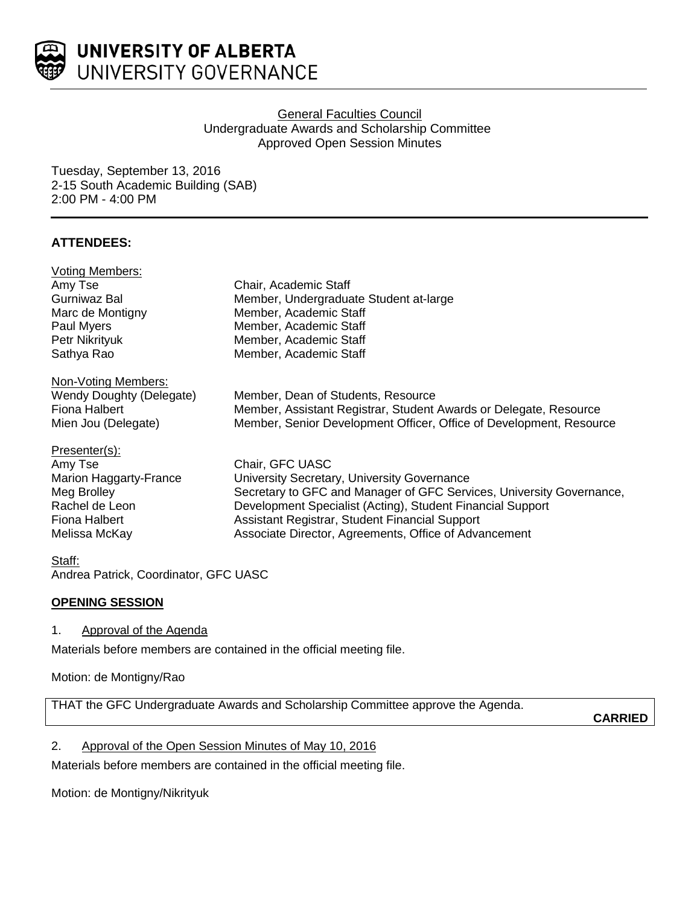

### **General Faculties Council** Undergraduate Awards and Scholarship Committee Approved Open Session Minutes

Tuesday, September 13, 2016 2-15 South Academic Building (SAB) 2:00 PM - 4:00 PM

# **ATTENDEES:**

| <b>Voting Members:</b>   |                                                                      |
|--------------------------|----------------------------------------------------------------------|
| Amy Tse                  | Chair, Academic Staff                                                |
| Gurniwaz Bal             | Member, Undergraduate Student at-large                               |
| Marc de Montigny         | Member, Academic Staff                                               |
| Paul Myers               | Member, Academic Staff                                               |
| Petr Nikrityuk           | Member, Academic Staff                                               |
| Sathya Rao               | Member, Academic Staff                                               |
| Non-Voting Members:      |                                                                      |
| Wendy Doughty (Delegate) | Member, Dean of Students, Resource                                   |
| Fiona Halbert            | Member, Assistant Registrar, Student Awards or Delegate, Resource    |
| Mien Jou (Delegate)      | Member, Senior Development Officer, Office of Development, Resource  |
| Presenter(s):            |                                                                      |
| Amy Tse                  | Chair, GFC UASC                                                      |
| Marion Haggarty-France   | University Secretary, University Governance                          |
| Meg Brolley              | Secretary to GFC and Manager of GFC Services, University Governance, |
| Rachel de Leon           | Development Specialist (Acting), Student Financial Support           |
| Fiona Halbert            | Assistant Registrar, Student Financial Support                       |
| Melissa McKay            | Associate Director, Agreements, Office of Advancement                |
| Staff:                   |                                                                      |

Andrea Patrick, Coordinator, GFC UASC

## **OPENING SESSION**

## 1. Approval of the Agenda

Materials before members are contained in the official meeting file.

Motion: de Montigny/Rao

THAT the GFC Undergraduate Awards and Scholarship Committee approve the Agenda.

**CARRIED**

## 2. Approval of the Open Session Minutes of May 10, 2016

Materials before members are contained in the official meeting file.

Motion: de Montigny/Nikrityuk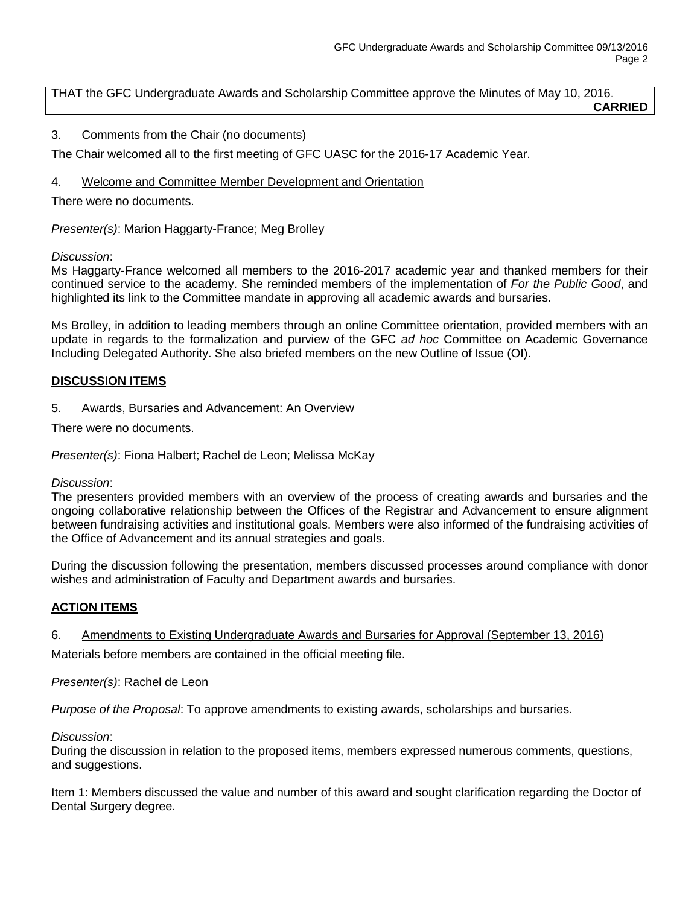THAT the GFC Undergraduate Awards and Scholarship Committee approve the Minutes of May 10, 2016. **CARRIED**

### 3. Comments from the Chair (no documents)

The Chair welcomed all to the first meeting of GFC UASC for the 2016-17 Academic Year.

4. Welcome and Committee Member Development and Orientation

There were no documents.

*Presenter(s)*: Marion Haggarty-France; Meg Brolley

#### *Discussion*:

Ms Haggarty-France welcomed all members to the 2016-2017 academic year and thanked members for their continued service to the academy. She reminded members of the implementation of *For the Public Good*, and highlighted its link to the Committee mandate in approving all academic awards and bursaries.

Ms Brolley, in addition to leading members through an online Committee orientation, provided members with an update in regards to the formalization and purview of the GFC *ad hoc* Committee on Academic Governance Including Delegated Authority. She also briefed members on the new Outline of Issue (OI).

### **DISCUSSION ITEMS**

### 5. Awards, Bursaries and Advancement: An Overview

There were no documents.

*Presenter(s)*: Fiona Halbert; Rachel de Leon; Melissa McKay

*Discussion*:

The presenters provided members with an overview of the process of creating awards and bursaries and the ongoing collaborative relationship between the Offices of the Registrar and Advancement to ensure alignment between fundraising activities and institutional goals. Members were also informed of the fundraising activities of the Office of Advancement and its annual strategies and goals.

During the discussion following the presentation, members discussed processes around compliance with donor wishes and administration of Faculty and Department awards and bursaries.

### **ACTION ITEMS**

6. Amendments to Existing Undergraduate Awards and Bursaries for Approval (September 13, 2016)

Materials before members are contained in the official meeting file.

*Presenter(s)*: Rachel de Leon

*Purpose of the Proposal*: To approve amendments to existing awards, scholarships and bursaries.

*Discussion*:

During the discussion in relation to the proposed items, members expressed numerous comments, questions, and suggestions.

Item 1: Members discussed the value and number of this award and sought clarification regarding the Doctor of Dental Surgery degree.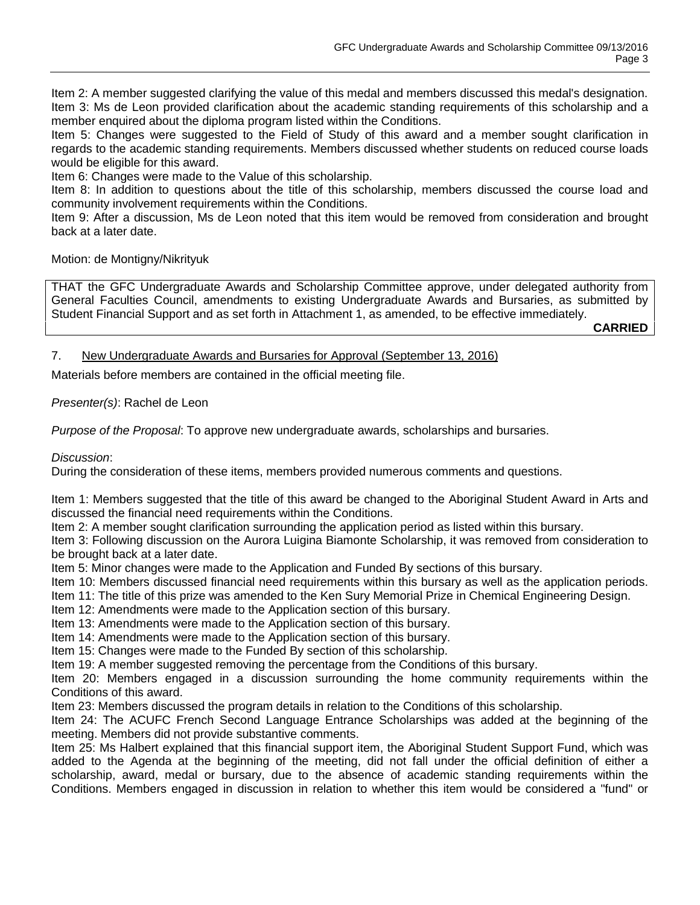Item 2: A member suggested clarifying the value of this medal and members discussed this medal's designation. Item 3: Ms de Leon provided clarification about the academic standing requirements of this scholarship and a member enquired about the diploma program listed within the Conditions.

Item 5: Changes were suggested to the Field of Study of this award and a member sought clarification in regards to the academic standing requirements. Members discussed whether students on reduced course loads would be eligible for this award.

Item 6: Changes were made to the Value of this scholarship.

Item 8: In addition to questions about the title of this scholarship, members discussed the course load and community involvement requirements within the Conditions.

Item 9: After a discussion, Ms de Leon noted that this item would be removed from consideration and brought back at a later date.

Motion: de Montigny/Nikrityuk

THAT the GFC Undergraduate Awards and Scholarship Committee approve, under delegated authority from General Faculties Council, amendments to existing Undergraduate Awards and Bursaries, as submitted by Student Financial Support and as set forth in Attachment 1, as amended, to be effective immediately.

**CARRIED**

### 7. New Undergraduate Awards and Bursaries for Approval (September 13, 2016)

Materials before members are contained in the official meeting file.

*Presenter(s)*: Rachel de Leon

*Purpose of the Proposal*: To approve new undergraduate awards, scholarships and bursaries.

*Discussion*:

During the consideration of these items, members provided numerous comments and questions.

Item 1: Members suggested that the title of this award be changed to the Aboriginal Student Award in Arts and discussed the financial need requirements within the Conditions.

Item 2: A member sought clarification surrounding the application period as listed within this bursary.

Item 3: Following discussion on the Aurora Luigina Biamonte Scholarship, it was removed from consideration to be brought back at a later date.

Item 5: Minor changes were made to the Application and Funded By sections of this bursary.

Item 10: Members discussed financial need requirements within this bursary as well as the application periods.

Item 11: The title of this prize was amended to the Ken Sury Memorial Prize in Chemical Engineering Design.

Item 12: Amendments were made to the Application section of this bursary.

Item 13: Amendments were made to the Application section of this bursary.

Item 14: Amendments were made to the Application section of this bursary.

Item 15: Changes were made to the Funded By section of this scholarship.

Item 19: A member suggested removing the percentage from the Conditions of this bursary.

Item 20: Members engaged in a discussion surrounding the home community requirements within the Conditions of this award.

Item 23: Members discussed the program details in relation to the Conditions of this scholarship.

Item 24: The ACUFC French Second Language Entrance Scholarships was added at the beginning of the meeting. Members did not provide substantive comments.

Item 25: Ms Halbert explained that this financial support item, the Aboriginal Student Support Fund, which was added to the Agenda at the beginning of the meeting, did not fall under the official definition of either a scholarship, award, medal or bursary, due to the absence of academic standing requirements within the Conditions. Members engaged in discussion in relation to whether this item would be considered a "fund" or